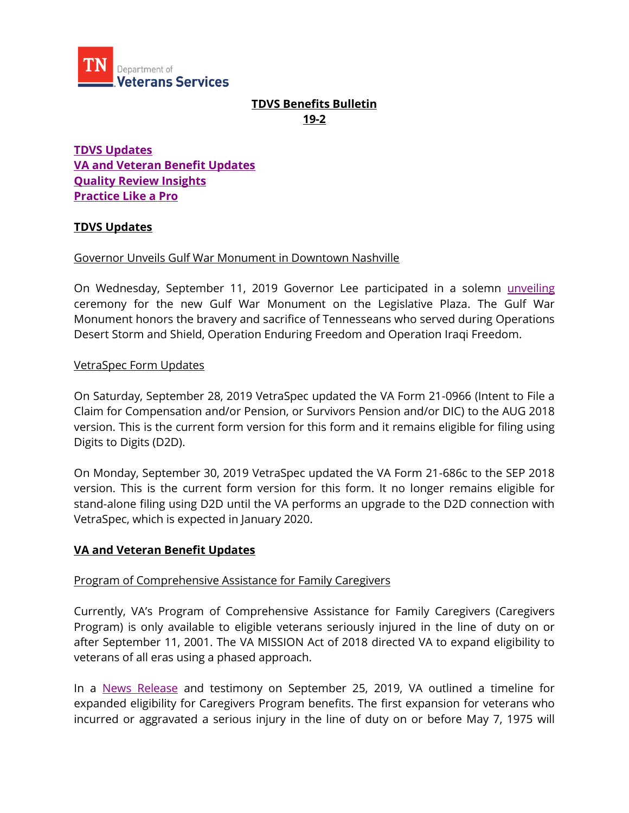

# **TDVS Benefits Bulletin 19-2**

**[TDVS Updates](#page-0-0) [VA and Veteran Benefit Updates](#page-0-1) [Quality Review Insights](#page-1-0) [Practice Like a Pro](#page-2-0)**

### <span id="page-0-0"></span>**TDVS Updates**

#### Governor Unveils Gulf War Monument in Downtown Nashville

On Wednesday, September 11, 2019 Governor Lee participated in a solemn [unveiling](https://www.tn.gov/veteran/news/2019/9/11/governor-unveils-gulf-war-monument-in-downtown-nashville-.html) ceremony for the new Gulf War Monument on the Legislative Plaza. The Gulf War Monument honors the bravery and sacrifice of Tennesseans who served during Operations Desert Storm and Shield, Operation Enduring Freedom and Operation Iraqi Freedom.

#### VetraSpec Form Updates

On Saturday, September 28, 2019 VetraSpec updated the VA Form 21-0966 (Intent to File a Claim for Compensation and/or Pension, or Survivors Pension and/or DIC) to the AUG 2018 version. This is the current form version for this form and it remains eligible for filing using Digits to Digits (D2D).

On Monday, September 30, 2019 VetraSpec updated the VA Form 21-686c to the SEP 2018 version. This is the current form version for this form. It no longer remains eligible for stand-alone filing using D2D until the VA performs an upgrade to the D2D connection with VetraSpec, which is expected in January 2020.

### <span id="page-0-1"></span>**VA and Veteran Benefit Updates**

#### Program of Comprehensive Assistance for Family Caregivers

Currently, VA's Program of Comprehensive Assistance for Family Caregivers (Caregivers Program) is only available to eligible veterans seriously injured in the line of duty on or after September 11, 2001. The VA MISSION Act of 2018 directed VA to expand eligibility to veterans of all eras using a phased approach.

In a [News Release](https://www.va.gov/opa/pressrel/pressrelease.cfm?id=5319) and testimony on September 25, 2019, VA outlined a timeline for expanded eligibility for Caregivers Program benefits. The first expansion for veterans who incurred or aggravated a serious injury in the line of duty on or before May 7, 1975 will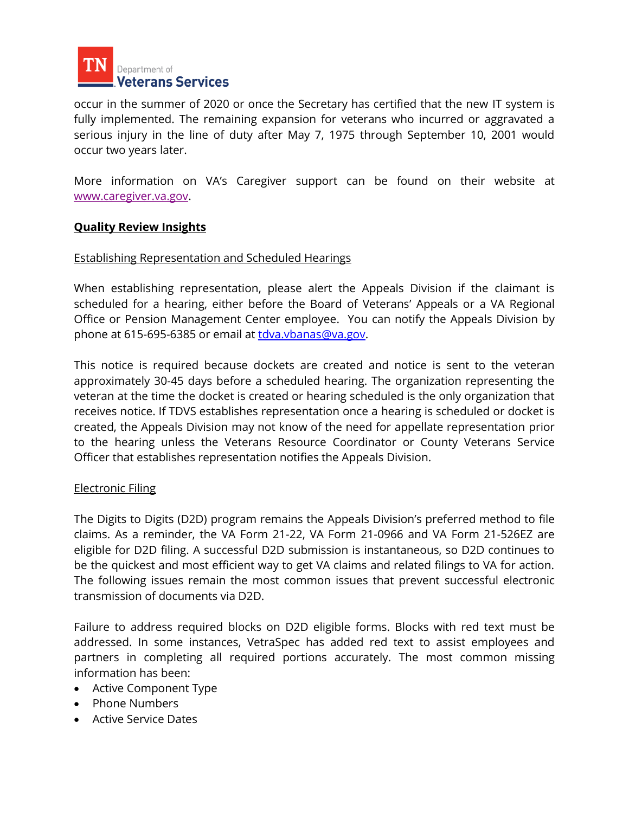

occur in the summer of 2020 or once the Secretary has certified that the new IT system is fully implemented. The remaining expansion for veterans who incurred or aggravated a serious injury in the line of duty after May 7, 1975 through September 10, 2001 would occur two years later.

More information on VA's Caregiver support can be found on their website at [www.caregiver.va.gov.](http://www.caregiver.va.gov/)

### <span id="page-1-0"></span>**Quality Review Insights**

#### Establishing Representation and Scheduled Hearings

When establishing representation, please alert the Appeals Division if the claimant is scheduled for a hearing, either before the Board of Veterans' Appeals or a VA Regional Office or Pension Management Center employee. You can notify the Appeals Division by phone at 615-695-6385 or email at [tdva.vbanas@va.gov.](mailto:tdva.vbanas@va.gov)

This notice is required because dockets are created and notice is sent to the veteran approximately 30-45 days before a scheduled hearing. The organization representing the veteran at the time the docket is created or hearing scheduled is the only organization that receives notice. If TDVS establishes representation once a hearing is scheduled or docket is created, the Appeals Division may not know of the need for appellate representation prior to the hearing unless the Veterans Resource Coordinator or County Veterans Service Officer that establishes representation notifies the Appeals Division.

#### Electronic Filing

The Digits to Digits (D2D) program remains the Appeals Division's preferred method to file claims. As a reminder, the VA Form 21-22, VA Form 21-0966 and VA Form 21-526EZ are eligible for D2D filing. A successful D2D submission is instantaneous, so D2D continues to be the quickest and most efficient way to get VA claims and related filings to VA for action. The following issues remain the most common issues that prevent successful electronic transmission of documents via D2D.

Failure to address required blocks on D2D eligible forms. Blocks with red text must be addressed. In some instances, VetraSpec has added red text to assist employees and partners in completing all required portions accurately. The most common missing information has been:

- Active Component Type
- Phone Numbers
- **Active Service Dates**